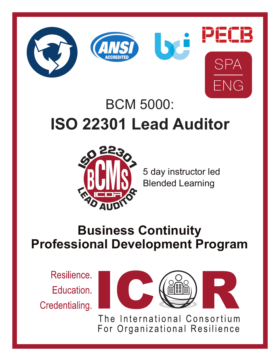





# BCM 5000: **ISO 22301 Lead Auditor**



5 day instructor led Blended Learning

## **Business Continuity Professional Development Program**

Resilience. Education. Credentialing.



The International Consortium For Organizational Resilience